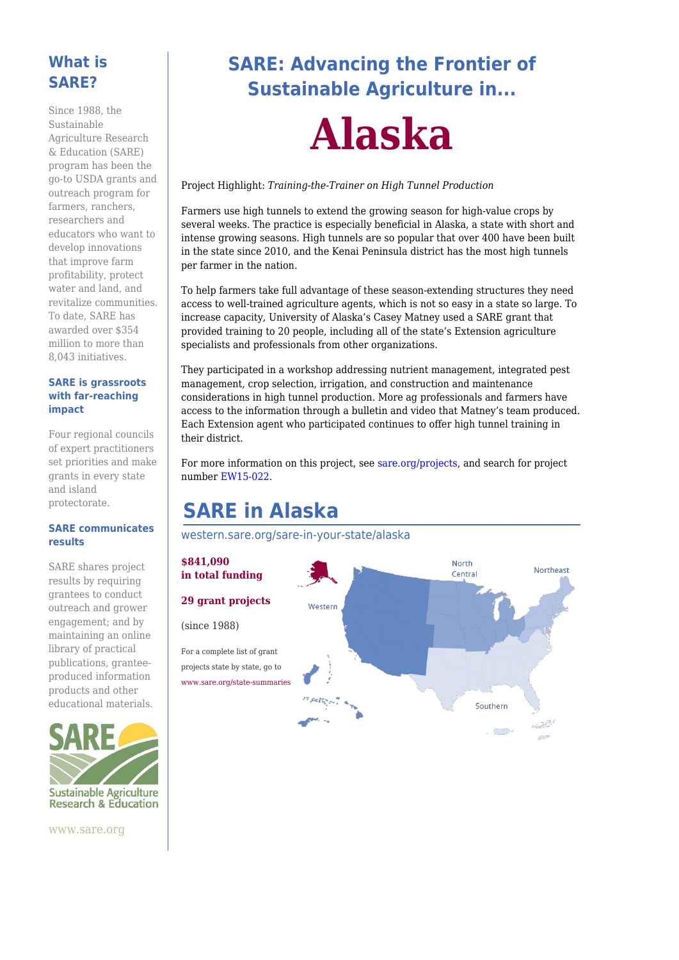### **What is SARE?**

Since 1988, the Sustainable Agriculture Research & Education (SARE) program has been the go-to USDA grants and outreach program for farmers, ranchers, researchers and educators who want to develop innovations that improve farm profitability, protect water and land, and revitalize communities. To date, SARE has awarded over \$354 million to more than 8,043 initiatives.

#### **SARE is grassroots with far-reaching impact**

Four regional councils of expert practitioners set priorities and make grants in every state and island protectorate.

#### **SARE communicates results**

SARE shares project results by requiring grantees to conduct outreach and grower engagement; and by maintaining an online library of practical publications, granteeproduced information products and other educational materials.



# **SARE: Advancing the Frontier of Sustainable Agriculture in...**

# **Alaska**

#### Project Highlight: *Training-the-Trainer on High Tunnel Production*

Farmers use high tunnels to extend the growing season for high-value crops by several weeks. The practice is especially beneficial in Alaska, a state with short and intense growing seasons. High tunnels are so popular that over 400 have been built in the state since 2010, and the Kenai Peninsula district has the most high tunnels per farmer in the nation.

To help farmers take full advantage of these season-extending structures they need access to well-trained agriculture agents, which is not so easy in a state so large. To increase capacity, University of Alaska's Casey Matney used a SARE grant that provided training to 20 people, including all of the state's Extension agriculture specialists and professionals from other organizations.

They participated in a workshop addressing nutrient management, integrated pest management, crop selection, irrigation, and construction and maintenance considerations in high tunnel production. More ag professionals and farmers have access to the information through a bulletin and video that Matney's team produced. Each Extension agent who participated continues to offer high tunnel training in their district.

For more information on this project, see [sare.org/projects](https://www.sare.org/projects), and search for project number [EW15-022](https://projects.sare.org/sare_project/ew15-022/).

# **SARE in Alaska**

[western.sare.org/sare-in-your-state/alaska](https://western.sare.org/sare-in-your-state/alaska)



www.sare.org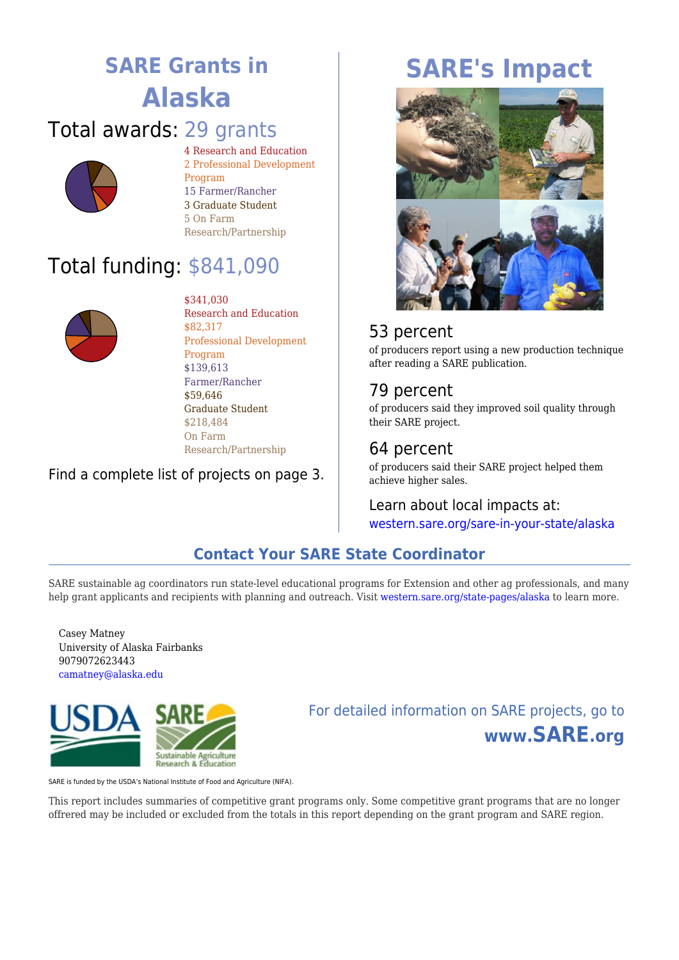# **SARE Grants in Alaska**

# Total awards: 29 grants



4 Research and Education 2 Professional Development Program 15 Farmer/Rancher 3 Graduate Student 5 On Farm Research/Partnership

# Total funding: \$841,090



\$341,030 Research and Education \$82,317 Professional Development Program \$139,613 Farmer/Rancher \$59,646 Graduate Student \$218,484 On Farm Research/Partnership

#### Find a complete list of projects on page 3.

# **SARE's Impact**



## 53 percent

of producers report using a new production technique after reading a SARE publication.

### 79 percent

of producers said they improved soil quality through their SARE project.

# 64 percent

of producers said their SARE project helped them achieve higher sales.

Learn about local impacts at: [western.sare.org/sare-in-your-state/alaska](https://western.sare.org/sare-in-your-state/alaska)

## **Contact Your SARE State Coordinator**

SARE sustainable ag coordinators run state-level educational programs for Extension and other ag professionals, and many help grant applicants and recipients with planning and outreach. Visit [western.sare.org/state-pages/alaska](https://western.sare.org/state-pages/alaska) to learn more.

Casey Matney University of Alaska Fairbanks 9079072623443 [camatney@alaska.edu](mailto:camatney@alaska.edu)



For detailed information on SARE projects, go to **www.SARE.org**

SARE is funded by the USDA's National Institute of Food and Agriculture (NIFA).

This report includes summaries of competitive grant programs only. Some competitive grant programs that are no longer offrered may be included or excluded from the totals in this report depending on the grant program and SARE region.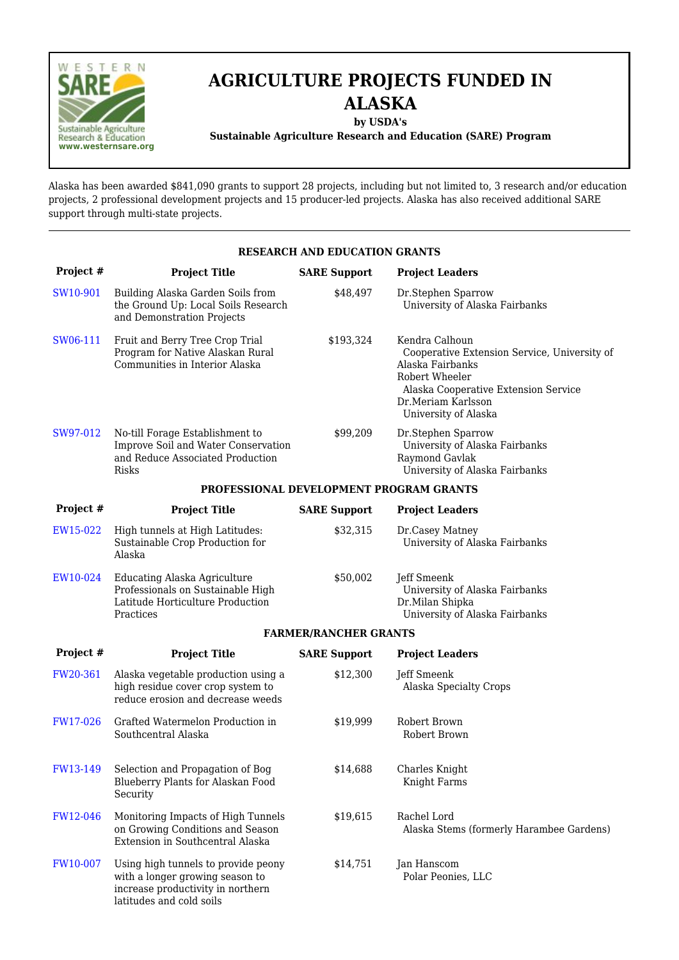

# **AGRICULTURE PROJECTS FUNDED IN ALASKA**

**by USDA's**

**Sustainable Agriculture Research and Education (SARE) Program**

Alaska has been awarded \$841,090 grants to support 28 projects, including but not limited to, 3 research and/or education projects, 2 professional development projects and 15 producer-led projects. Alaska has also received additional SARE support through multi-state projects.

| <b>RESEARCH AND EDUCATION GRANTS</b>    |                                                                                                                                         |                     |                                                                                                                                                                                            |  |  |  |  |
|-----------------------------------------|-----------------------------------------------------------------------------------------------------------------------------------------|---------------------|--------------------------------------------------------------------------------------------------------------------------------------------------------------------------------------------|--|--|--|--|
| Project #                               | <b>Project Title</b>                                                                                                                    | <b>SARE Support</b> | <b>Project Leaders</b>                                                                                                                                                                     |  |  |  |  |
| SW10-901                                | Building Alaska Garden Soils from<br>the Ground Up: Local Soils Research<br>and Demonstration Projects                                  | \$48,497            | Dr.Stephen Sparrow<br>University of Alaska Fairbanks                                                                                                                                       |  |  |  |  |
| SW06-111                                | Fruit and Berry Tree Crop Trial<br>Program for Native Alaskan Rural<br>Communities in Interior Alaska                                   | \$193,324           | Kendra Calhoun<br>Cooperative Extension Service, University of<br>Alaska Fairbanks<br>Robert Wheeler<br>Alaska Cooperative Extension Service<br>Dr.Meriam Karlsson<br>University of Alaska |  |  |  |  |
| SW97-012                                | No-till Forage Establishment to<br>Improve Soil and Water Conservation<br>and Reduce Associated Production<br><b>Risks</b>              | \$99,209            | Dr.Stephen Sparrow<br>University of Alaska Fairbanks<br>Raymond Gavlak<br>University of Alaska Fairbanks                                                                                   |  |  |  |  |
| PROFESSIONAL DEVELOPMENT PROGRAM GRANTS |                                                                                                                                         |                     |                                                                                                                                                                                            |  |  |  |  |
| Project #                               | <b>Project Title</b>                                                                                                                    | <b>SARE Support</b> | <b>Project Leaders</b>                                                                                                                                                                     |  |  |  |  |
| EW15-022                                | High tunnels at High Latitudes:<br>Sustainable Crop Production for<br>Alaska                                                            | \$32,315            | Dr.Casey Matney<br>University of Alaska Fairbanks                                                                                                                                          |  |  |  |  |
| EW10-024                                | <b>Educating Alaska Agriculture</b><br>Professionals on Sustainable High<br>Latitude Horticulture Production<br>Practices               | \$50,002            | Jeff Smeenk<br>University of Alaska Fairbanks<br>Dr.Milan Shipka<br>University of Alaska Fairbanks                                                                                         |  |  |  |  |
| <b>FARMER/RANCHER GRANTS</b>            |                                                                                                                                         |                     |                                                                                                                                                                                            |  |  |  |  |
| Project #                               | <b>Project Title</b>                                                                                                                    | <b>SARE Support</b> | <b>Project Leaders</b>                                                                                                                                                                     |  |  |  |  |
| FW20-361                                | Alaska vegetable production using a<br>high residue cover crop system to<br>reduce erosion and decrease weeds                           | \$12,300            | Jeff Smeenk<br><b>Alaska Specialty Crops</b>                                                                                                                                               |  |  |  |  |
| <b>FW17-026</b>                         | Grafted Watermelon Production in<br>Southcentral Alaska                                                                                 | \$19,999            | Robert Brown<br>Robert Brown                                                                                                                                                               |  |  |  |  |
| FW13-149                                | Selection and Propagation of Bog<br>Blueberry Plants for Alaskan Food<br>Security                                                       | \$14,688            | Charles Knight<br>Knight Farms                                                                                                                                                             |  |  |  |  |
| FW12-046                                | Monitoring Impacts of High Tunnels<br>on Growing Conditions and Season<br>Extension in Southcentral Alaska                              | \$19,615            | Rachel Lord<br>Alaska Stems (formerly Harambee Gardens)                                                                                                                                    |  |  |  |  |
| FW10-007                                | Using high tunnels to provide peony<br>with a longer growing season to<br>increase productivity in northern<br>latitudes and cold soils | \$14,751            | Jan Hanscom<br>Polar Peonies, LLC                                                                                                                                                          |  |  |  |  |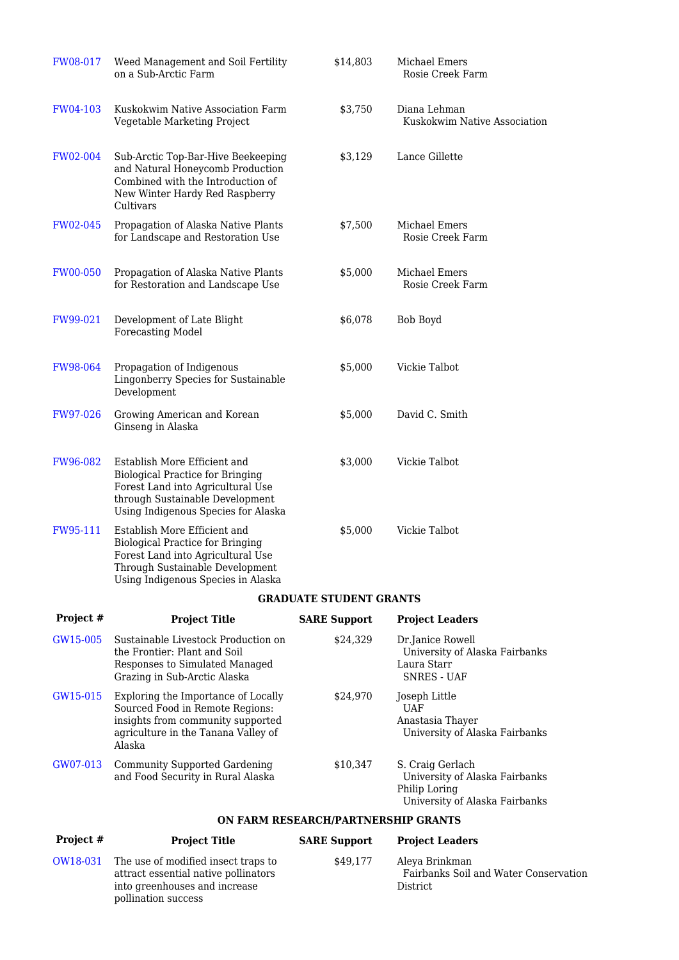| FW08-017        | Weed Management and Soil Fertility<br>on a Sub-Arctic Farm                                                                                                                             | \$14,803                            | Michael Emers<br>Rosie Creek Farm                                                                     |  |  |  |
|-----------------|----------------------------------------------------------------------------------------------------------------------------------------------------------------------------------------|-------------------------------------|-------------------------------------------------------------------------------------------------------|--|--|--|
| FW04-103        | Kuskokwim Native Association Farm<br>Vegetable Marketing Project                                                                                                                       | \$3,750                             | Diana Lehman<br>Kuskokwim Native Association                                                          |  |  |  |
| <b>FW02-004</b> | Sub-Arctic Top-Bar-Hive Beekeeping<br>and Natural Honeycomb Production<br>Combined with the Introduction of<br>New Winter Hardy Red Raspberry<br>Cultivars                             | \$3,129                             | Lance Gillette                                                                                        |  |  |  |
| FW02-045        | Propagation of Alaska Native Plants<br>for Landscape and Restoration Use                                                                                                               | \$7,500                             | Michael Emers<br>Rosie Creek Farm                                                                     |  |  |  |
| <b>FW00-050</b> | Propagation of Alaska Native Plants<br>for Restoration and Landscape Use                                                                                                               | \$5,000                             | Michael Emers<br>Rosie Creek Farm                                                                     |  |  |  |
| FW99-021        | Development of Late Blight<br><b>Forecasting Model</b>                                                                                                                                 | \$6,078                             | <b>Bob Boyd</b>                                                                                       |  |  |  |
| FW98-064        | Propagation of Indigenous<br>Lingonberry Species for Sustainable<br>Development                                                                                                        | \$5,000                             | Vickie Talbot                                                                                         |  |  |  |
| FW97-026        | Growing American and Korean<br>Ginseng in Alaska                                                                                                                                       | \$5,000                             | David C. Smith                                                                                        |  |  |  |
| FW96-082        | Establish More Efficient and<br><b>Biological Practice for Bringing</b><br>Forest Land into Agricultural Use<br>through Sustainable Development<br>Using Indigenous Species for Alaska | \$3,000                             | Vickie Talbot                                                                                         |  |  |  |
| FW95-111        | Establish More Efficient and<br><b>Biological Practice for Bringing</b><br>Forest Land into Agricultural Use<br>Through Sustainable Development<br>Using Indigenous Species in Alaska  | \$5,000                             | Vickie Talbot                                                                                         |  |  |  |
|                 | <b>GRADUATE STUDENT GRANTS</b>                                                                                                                                                         |                                     |                                                                                                       |  |  |  |
| Project #       | <b>Project Title</b>                                                                                                                                                                   | <b>SARE Support</b>                 | <b>Project Leaders</b>                                                                                |  |  |  |
| GW15-005        | Sustainable Livestock Production on<br>the Frontier: Plant and Soil<br>Responses to Simulated Managed<br>Grazing in Sub-Arctic Alaska                                                  | \$24,329                            | Dr.Janice Rowell<br>University of Alaska Fairbanks<br>Laura Starr<br><b>SNRES - UAF</b>               |  |  |  |
| GW15-015        | Exploring the Importance of Locally<br>Sourced Food in Remote Regions:<br>insights from community supported<br>agriculture in the Tanana Valley of<br>Alaska                           | \$24,970                            | Joseph Little<br><b>UAF</b><br>Anastasia Thayer<br>University of Alaska Fairbanks                     |  |  |  |
| GW07-013        | <b>Community Supported Gardening</b><br>and Food Security in Rural Alaska                                                                                                              | \$10,347                            | S. Craig Gerlach<br>University of Alaska Fairbanks<br>Philip Loring<br>University of Alaska Fairbanks |  |  |  |
|                 |                                                                                                                                                                                        | ON FARM RESEARCH/PARTNERSHIP GRANTS |                                                                                                       |  |  |  |
| Project #       | <b>Project Title</b>                                                                                                                                                                   | <b>SARE Support</b>                 | <b>Project Leaders</b>                                                                                |  |  |  |
| OW18-031        | The use of modified insect traps to<br>attract essential native pollinators<br>into greenhouses and increase                                                                           | \$49,177                            | Aleya Brinkman<br>Fairbanks Soil and Water Conservation<br>District                                   |  |  |  |

pollination success